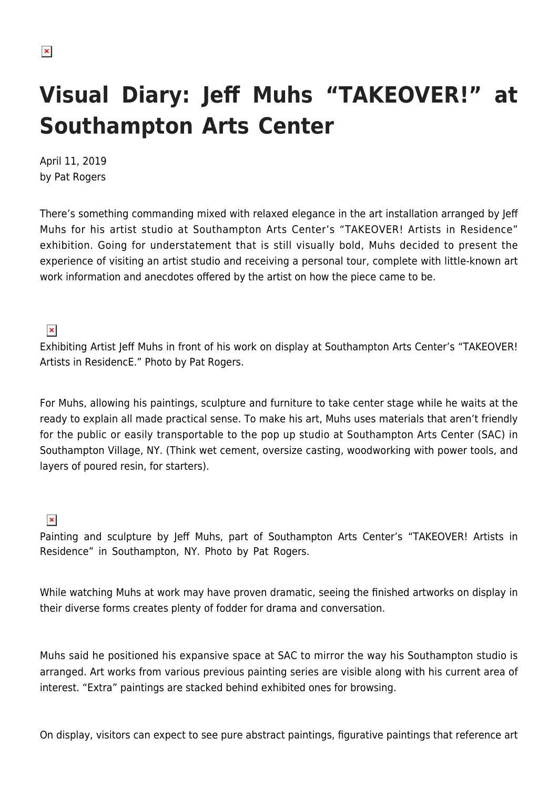## **Visual Diary: Jeff Muhs "TAKEOVER!" at Southampton Arts Center**

April 11, 2019 by Pat Rogers

There's something commanding mixed with relaxed elegance in the art installation arranged by Jeff Muhs for his artist studio at Southampton Arts Center's "TAKEOVER! Artists in Residence" exhibition. Going for understatement that is still visually bold, Muhs decided to present the experience of visiting an artist studio and receiving a personal tour, complete with little-known art work information and anecdotes offered by the artist on how the piece came to be.

## $\pmb{\times}$

Exhibiting Artist Jeff Muhs in front of his work on display at Southampton Arts Center's "TAKEOVER! Artists in ResidencE." Photo by Pat Rogers.

For Muhs, allowing his paintings, sculpture and furniture to take center stage while he waits at the ready to explain all made practical sense. To make his art, Muhs uses materials that aren't friendly for the public or easily transportable to the pop up studio at Southampton Arts Center (SAC) in Southampton Village, NY. (Think wet cement, oversize casting, woodworking with power tools, and layers of poured resin, for starters).

## $\pmb{\times}$

Painting and sculpture by Jeff Muhs, part of Southampton Arts Center's "TAKEOVER! Artists in Residence" in Southampton, NY. Photo by Pat Rogers.

While watching Muhs at work may have proven dramatic, seeing the finished artworks on display in their diverse forms creates plenty of fodder for drama and conversation.

Muhs said he positioned his expansive space at SAC to mirror the way his Southampton studio is arranged. Art works from various previous painting series are visible along with his current area of interest. "Extra" paintings are stacked behind exhibited ones for browsing.

On display, visitors can expect to see pure abstract paintings, figurative paintings that reference art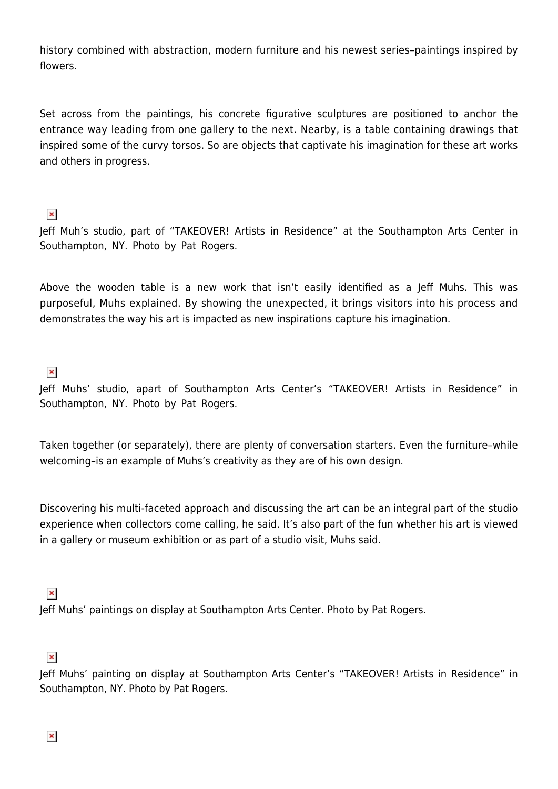history combined with abstraction, modern furniture and his newest series–paintings inspired by flowers.

Set across from the paintings, his concrete figurative sculptures are positioned to anchor the entrance way leading from one gallery to the next. Nearby, is a table containing drawings that inspired some of the curvy torsos. So are objects that captivate his imagination for these art works and others in progress.

 $\pmb{\times}$ 

Jeff Muh's studio, part of "TAKEOVER! Artists in Residence" at the Southampton Arts Center in Southampton, NY. Photo by Pat Rogers.

Above the wooden table is a new work that isn't easily identified as a Jeff Muhs. This was purposeful, Muhs explained. By showing the unexpected, it brings visitors into his process and demonstrates the way his art is impacted as new inspirations capture his imagination.

 $\pmb{\times}$ 

Jeff Muhs' studio, apart of Southampton Arts Center's "TAKEOVER! Artists in Residence" in Southampton, NY. Photo by Pat Rogers.

Taken together (or separately), there are plenty of conversation starters. Even the furniture–while welcoming–is an example of Muhs's creativity as they are of his own design.

Discovering his multi-faceted approach and discussing the art can be an integral part of the studio experience when collectors come calling, he said. It's also part of the fun whether his art is viewed in a gallery or museum exhibition or as part of a studio visit, Muhs said.

## $\pmb{\times}$

Jeff Muhs' paintings on display at Southampton Arts Center. Photo by Pat Rogers.

 $\pmb{\times}$ 

Jeff Muhs' painting on display at Southampton Arts Center's "TAKEOVER! Artists in Residence" in Southampton, NY. Photo by Pat Rogers.

 $\pmb{\times}$